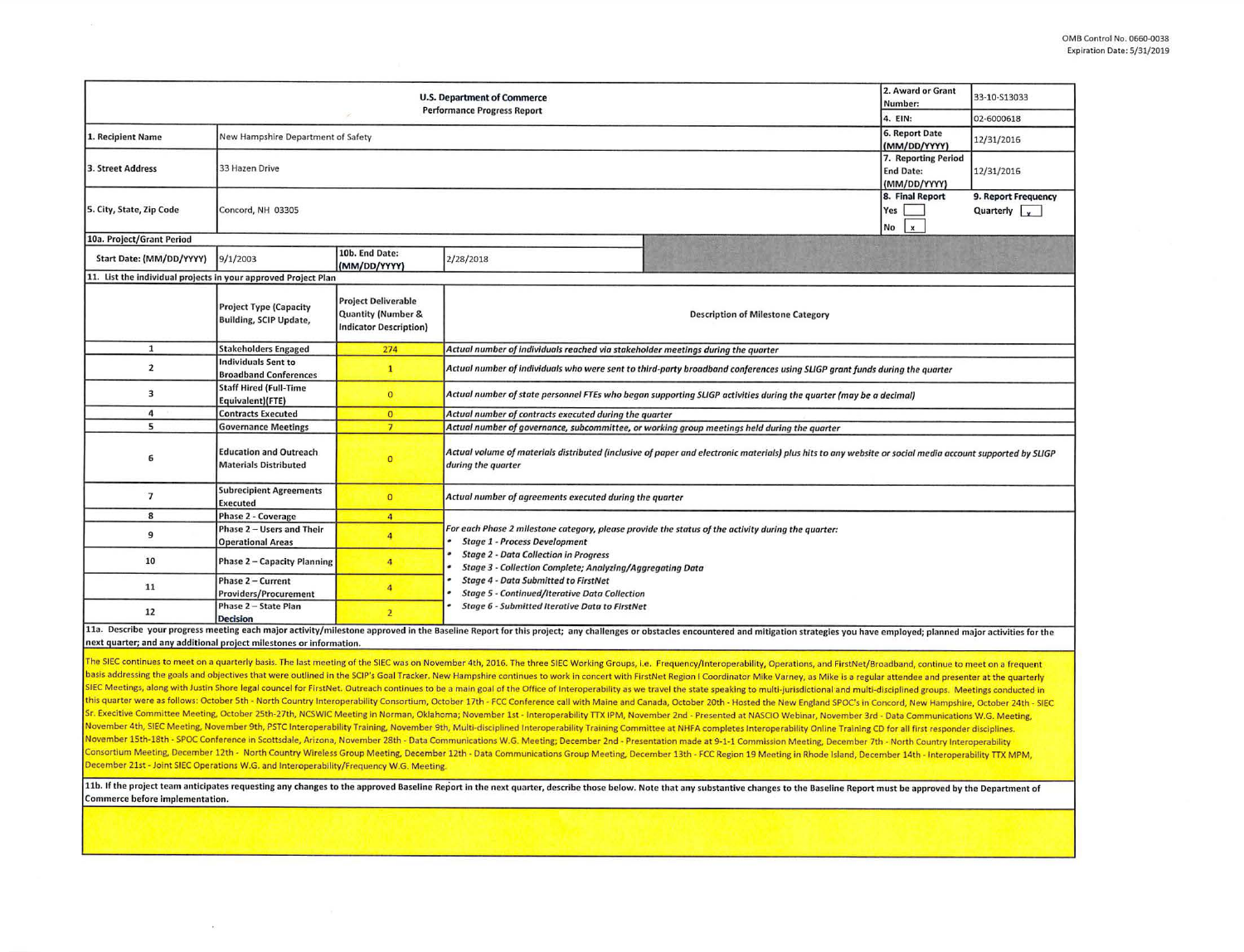|                                                                | 2. Award or Grant<br>Number:                                   | 33-10-S13033                                                                      |                                                                                                                                                                                                                                                         |                                                                                                                                                                                                                                |  |  |  |  |  |  |
|----------------------------------------------------------------|----------------------------------------------------------------|-----------------------------------------------------------------------------------|---------------------------------------------------------------------------------------------------------------------------------------------------------------------------------------------------------------------------------------------------------|--------------------------------------------------------------------------------------------------------------------------------------------------------------------------------------------------------------------------------|--|--|--|--|--|--|
|                                                                | 4. EIN:                                                        | 02-6000618                                                                        |                                                                                                                                                                                                                                                         |                                                                                                                                                                                                                                |  |  |  |  |  |  |
| 1. Recipient Name                                              | New Hampshire Department of Safety                             | 6. Report Date<br>(MM/DD/YYYY)                                                    | 12/31/2016                                                                                                                                                                                                                                              |                                                                                                                                                                                                                                |  |  |  |  |  |  |
| 3. Street Address                                              | 33 Hazen Drive                                                 | 7. Reporting Period<br><b>End Date:</b><br>(MM/DD/YYYY)                           | 12/31/2016                                                                                                                                                                                                                                              |                                                                                                                                                                                                                                |  |  |  |  |  |  |
| 5. City, State, Zip Code                                       | Concord, NH 03305                                              | 8. Final Report<br>Yes<br>No<br>$\boldsymbol{\mathsf{x}}$                         | 9. Report Frequency<br>Quarterly $\sqrt{\phantom{a}}$                                                                                                                                                                                                   |                                                                                                                                                                                                                                |  |  |  |  |  |  |
| 10a. Project/Grant Period                                      |                                                                |                                                                                   |                                                                                                                                                                                                                                                         |                                                                                                                                                                                                                                |  |  |  |  |  |  |
| Start Date: (MM/DD/YYYY)                                       | 9/1/2003                                                       | 10b. End Date:<br>(MM/DD/YYYY)                                                    | 2/28/2018                                                                                                                                                                                                                                               |                                                                                                                                                                                                                                |  |  |  |  |  |  |
| 11. List the individual projects in your approved Project Plan |                                                                |                                                                                   |                                                                                                                                                                                                                                                         |                                                                                                                                                                                                                                |  |  |  |  |  |  |
|                                                                | <b>Project Type (Capacity</b><br><b>Building, SCIP Update,</b> | <b>Project Deliverable</b><br>Quantity (Number &<br><b>Indicator Description)</b> | <b>Description of Milestone Category</b>                                                                                                                                                                                                                |                                                                                                                                                                                                                                |  |  |  |  |  |  |
| $\mathbf{1}$                                                   | <b>Stakeholders Engaged</b>                                    | 274                                                                               | Actual number of individuals reached via stakeholder meetings during the quarter                                                                                                                                                                        |                                                                                                                                                                                                                                |  |  |  |  |  |  |
| $\overline{2}$                                                 | Individuals Sent to<br><b>Broadband Conferences</b>            | $\mathbf{1}$                                                                      | Actual number of individuals who were sent to third-party broadband conferences using SLIGP grant funds during the quarter                                                                                                                              |                                                                                                                                                                                                                                |  |  |  |  |  |  |
| 3                                                              | <b>Staff Hired (Full-Time</b><br>Equivalent)(FTE)              | $\Omega$                                                                          | Actual number of state personnel FTEs who began supporting SLIGP activities during the quarter (may be a decimal)                                                                                                                                       |                                                                                                                                                                                                                                |  |  |  |  |  |  |
| 4                                                              | <b>Contracts Executed</b>                                      | $\overline{0}$                                                                    | Actual number of contracts executed during the quarter                                                                                                                                                                                                  |                                                                                                                                                                                                                                |  |  |  |  |  |  |
| 5                                                              | <b>Governance Meetings</b>                                     | $\overline{7}$                                                                    | Actual number of governance, subcommittee, or working group meetings held during the quarter                                                                                                                                                            |                                                                                                                                                                                                                                |  |  |  |  |  |  |
| 6                                                              | <b>Education and Outreach</b><br><b>Materials Distributed</b>  | $\circ$                                                                           | Actual volume of materials distributed (inclusive of paper and electronic materials) plus hits to any website or social media account supported by SLIGP<br>during the quarter                                                                          |                                                                                                                                                                                                                                |  |  |  |  |  |  |
| $\overline{7}$                                                 | <b>Subrecipient Agreements</b><br>Executed                     | $\overline{0}$                                                                    | Actual number of agreements executed during the quarter                                                                                                                                                                                                 |                                                                                                                                                                                                                                |  |  |  |  |  |  |
| 8                                                              | Phase 2 - Coverage                                             | $\overline{4}$                                                                    |                                                                                                                                                                                                                                                         |                                                                                                                                                                                                                                |  |  |  |  |  |  |
| 9                                                              | Phase 2 - Users and Their<br><b>Operational Areas</b>          | $\overline{4}$                                                                    | For each Phase 2 milestone category, please provide the status of the activity during the quarter:<br><b>Stage 1 - Process Development</b><br><b>Stage 2 - Data Collection in Progress</b><br>Stage 3 - Collection Complete; Analyzing/Aggregating Data |                                                                                                                                                                                                                                |  |  |  |  |  |  |
| 10                                                             | Phase 2 - Capacity Planning                                    | 4                                                                                 |                                                                                                                                                                                                                                                         |                                                                                                                                                                                                                                |  |  |  |  |  |  |
| 11                                                             | Phase 2 - Current<br><b>Providers/Procurement</b>              | 4                                                                                 | <b>Stage 4 - Data Submitted to FirstNet</b><br><b>Stage 5 - Continued/Iterative Data Collection</b><br>Stage 6 - Submitted Iterative Data to FirstNet                                                                                                   |                                                                                                                                                                                                                                |  |  |  |  |  |  |
| 12                                                             | Phase 2 - State Plan<br><b>Decision</b>                        | $\overline{2}$                                                                    |                                                                                                                                                                                                                                                         |                                                                                                                                                                                                                                |  |  |  |  |  |  |
|                                                                |                                                                |                                                                                   |                                                                                                                                                                                                                                                         | 11a. Describe your progress meeting each major activity/milestone approved in the Baseline Report for this project; any challenges or obstacles encountered and mitigation strategies you have employed; planned major activit |  |  |  |  |  |  |

next quarter; and any additional project milestones or information.

The SIEC continues to meet on a quarterly basis. The last meeting of the SIEC was on November 4th, 2016. The three SIEC Working Groups, i.e. Frequency/Interoperability, Operations, and FirstNet/Broadband, continue to meet basis addressing the goals and objectives that were outlined in the SCIP's Goal Tracker. New Hampshire continues to work in concert with FirstNet Region I Coordinator Mike Varney, as Mike is a regular attendee and presente SIEC Meetings, along with Justin Shore legal councel for FirstNet. Outreach continues to be a main goal of the Office of Interoperability as we travel the state speaking to multi-jurisdictional and multi-disciplined groups this quarter were as follows: October 5th - North Country Interoperability Consortium, October 17th - FCC Conference call with Maine and Canada, October 20th - Hosted the New England SPOC's in Concord, New Hampshire, Octob Sr. Execitive Committee Meeting, October 25th-27th, NCSWIC Meeting in Norman, Oklahoma; November 1st - Interoperability TTX IPM, November 2nd - Presented at NASCIO Webinar, November 3rd - Data Communications W.G. Meeting. November 4th, SIEC Meeting, November 9th, PSTC Interoperability Training, November 9th, Multi-disciplined Interoperability Training Committee at NHFA completes Interoperability Online Training CD for all first responder di November 15th-18th - SPOC Conference in Scottsdale, Arizona, November 28th - Data Communications W.G. Meeting, December 2nd - Presentation made at 9-1-1 Commission Meeting, December 7th - North Country Interoperability Consortium Meeting, December 12th · North Country Wireless Group Meeting, December 12th . Data Communications Group Meeting, December 13th. FCC Region 19 Meeting In Rhode Island, December 14th · Interoperability TTX MPM, December 21st - Joint SIEC Operations W.G. and Interoperability/Frequency W.G. Meeting.

11b. If the project team anticipates requesting any changes to the approved Baseline Report in the next quarter, describe those below. Note that any substantive changes to the Baseline Report must be approved by the Depart Commerce before implementation.